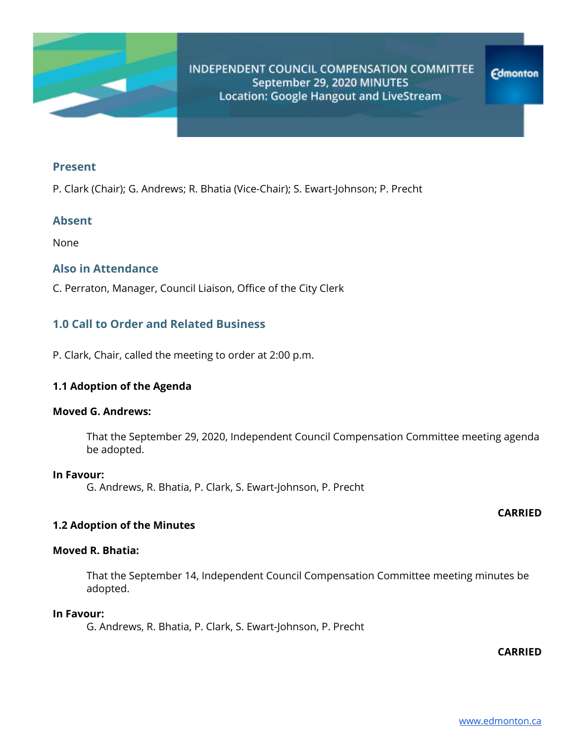

### **Present**

P. Clark (Chair); G. Andrews; R. Bhatia (Vice-Chair); S. Ewart-Johnson; P. Precht

# **Absent**

None

# **Also in Attendance**

C. Perraton, Manager, Council Liaison, Office of the City Clerk

# **1.0 Call to Order and Related Business**

P. Clark, Chair, called the meeting to order at 2:00 p.m.

## **1.1 Adoption of the Agenda**

### **Moved G. Andrews:**

That the September 29, 2020, Independent Council Compensation Committee meeting agenda be adopted.

#### **In Favour:**

G. Andrews, R. Bhatia, P. Clark, S. Ewart-Johnson, P. Precht

## **CARRIED**

# **1.2 Adoption of the Minutes**

## **Moved R. Bhatia:**

That the September 14, Independent Council Compensation Committee meeting minutes be adopted.

#### **In Favour:**

G. Andrews, R. Bhatia, P. Clark, S. Ewart-Johnson, P. Precht

**CARRIED**